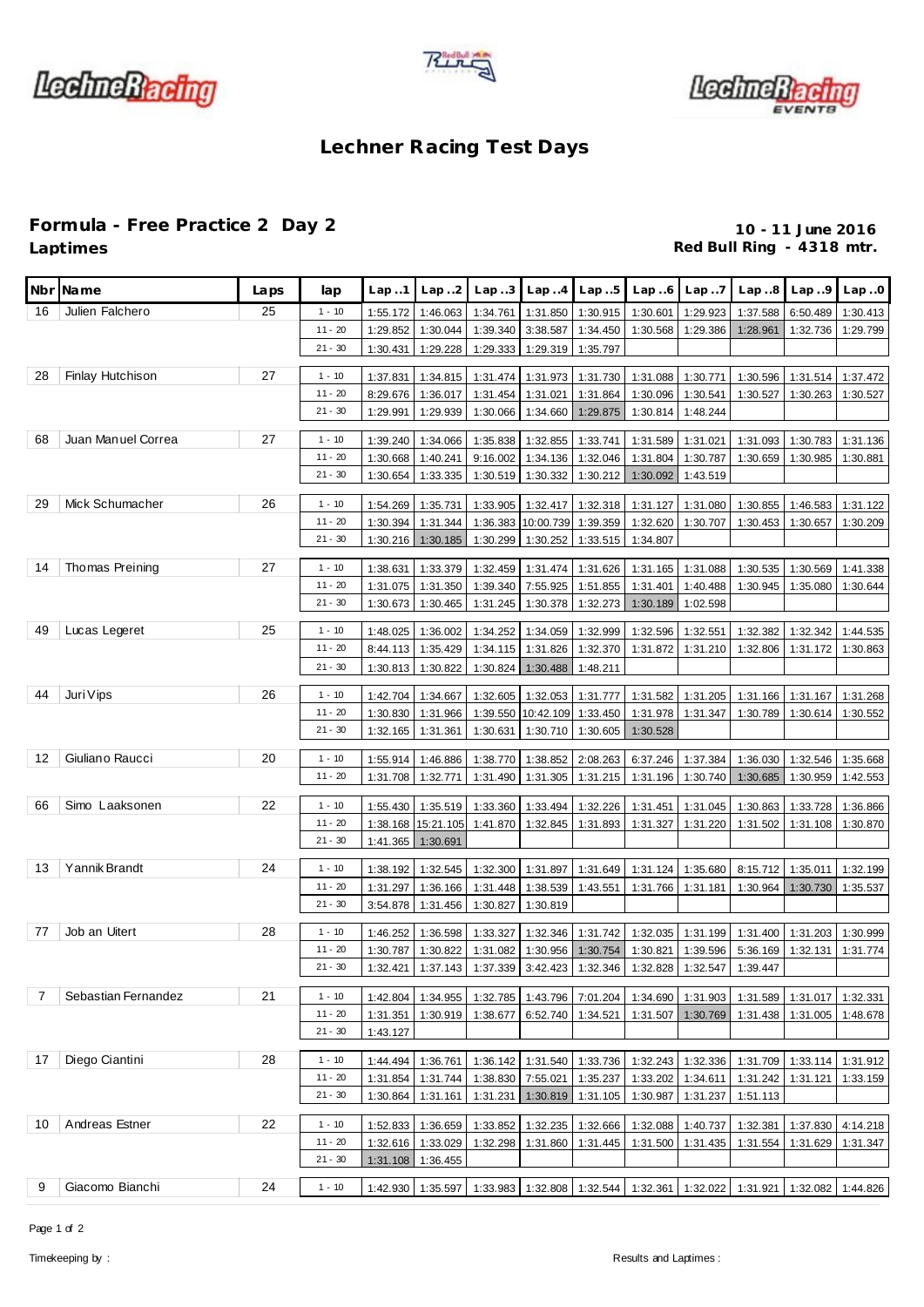





## **Lechner Racing Test Days**

## **Formula - Free Practice 2 Day 2 10 - 11 June 2016**

Red Bull Ring - 4318 mtr.

|                | Nbr Name            | Laps | lap                    | Lap.1    | Lap.2                         | Lap.3                | Lap.4                       | Lap.5    | Lap.6                                                 | Lap.7    | Lap.8                                                 | Lap.9                                                                                     | Lap.0    |
|----------------|---------------------|------|------------------------|----------|-------------------------------|----------------------|-----------------------------|----------|-------------------------------------------------------|----------|-------------------------------------------------------|-------------------------------------------------------------------------------------------|----------|
| 16             | Julien Falchero     | 25   | $1 - 10$               | 1:55.172 | 1:46.063                      | 1:34.761             | 1:31.850                    | 1:30.915 | 1:30.601                                              | 1:29.923 | 1:37.588                                              | 6:50.489                                                                                  | 1:30.413 |
|                |                     |      | $11 - 20$              | 1:29.852 | 1:30.044                      | 1:39.340             | 3:38.587                    | 1:34.450 | 1:30.568                                              | 1:29.386 | 1:28.961                                              | 1:32.736                                                                                  | 1:29.799 |
|                |                     |      | $21 - 30$              | 1:30.431 | 1:29.228                      | 1:29.333             | 1:29.319                    | 1:35.797 |                                                       |          |                                                       |                                                                                           |          |
| 28             | Finlay Hutchison    | 27   | $1 - 10$               | 1:37.831 | 1:34.815                      | 1:31.474             | 1:31.973                    | 1:31.730 | 1:31.088                                              | 1:30.771 | 1:30.596                                              | 1:31.514                                                                                  | 1:37.472 |
|                |                     |      | $11 - 20$              | 8:29.676 | 1:36.017                      | 1:31.454             | 1:31.021                    | 1:31.864 | 1:30.096                                              | 1:30.541 | 1:30.527                                              | 1:30.263                                                                                  | 1:30.527 |
|                |                     |      | $21 - 30$              | 1:29.991 | 1:29.939                      | 1:30.066             | 1:34.660                    | 1:29.875 | 1:30.814                                              | 1:48.244 |                                                       |                                                                                           |          |
|                |                     |      |                        |          |                               |                      |                             |          |                                                       |          |                                                       |                                                                                           |          |
| 68             | Juan Manuel Correa  | 27   | $1 - 10$               | 1:39.240 | 1:34.066                      | 1:35.838             | 1:32.855                    | 1:33.741 | 1:31.589                                              | 1:31.021 | 1:31.093                                              | 1:30.783                                                                                  | 1:31.136 |
|                |                     |      | $11 - 20$              | 1:30.668 | 1:40.241                      | 9:16.002             | 1:34.136                    | 1:32.046 | 1:31.804                                              | 1:30.787 | 1:30.659                                              | 1:30.985                                                                                  | 1:30.881 |
|                |                     |      | $21 - 30$              | 1:30.654 | 1:33.335                      | 1:30.519             | 1:30.332                    | 1:30.212 | 1:30.092                                              | 1:43.519 |                                                       |                                                                                           |          |
| 29             | Mick Schumacher     | 26   | $1 - 10$               | 1:54.269 | 1:35.731                      | 1:33.905             | 1:32.417                    | 1:32.318 | 1:31.127                                              | 1:31.080 | 1:30.855                                              | 1:46.583                                                                                  | 1:31.122 |
|                |                     |      | $11 - 20$              | 1:30.394 | 1:31.344                      |                      | 1:36.383 10:00.739 1:39.359 |          | 1:32.620                                              | 1:30.707 | 1:30.453                                              | 1:30.657                                                                                  | 1:30.209 |
|                |                     |      | $21 - 30$              | 1:30.216 | 1:30.185                      | 1:30.299             | 1:30.252                    | 1:33.515 | 1:34.807                                              |          |                                                       |                                                                                           |          |
| 14             | Thomas Preining     | 27   | $1 - 10$               | 1:38.631 | 1:33.379                      | 1:32.459             | 1:31.474                    | 1:31.626 | 1:31.165                                              | 1:31.088 | 1:30.535                                              | 1:30.569                                                                                  | 1:41.338 |
|                |                     |      | $11 - 20$              | 1:31.075 | 1:31.350                      | 1:39.340             | 7:55.925                    | 1:51.855 | 1:31.401                                              | 1:40.488 | 1:30.945                                              | 1:35.080                                                                                  | 1:30.644 |
|                |                     |      | $21 - 30$              | 1:30.673 | 1:30.465                      | 1:31.245             | 1:30.378                    | 1:32.273 | 1:30.189                                              | 1:02.598 |                                                       |                                                                                           |          |
|                |                     |      |                        |          |                               |                      |                             |          |                                                       |          |                                                       |                                                                                           |          |
| 49             | Lucas Legeret       | 25   | $1 - 10$               | 1:48.025 | 1:36.002                      | 1:34.252             | 1:34.059                    | 1:32.999 | 1:32.596                                              | 1:32.551 | 1:32.382                                              | 1:32.342                                                                                  | 1:44.535 |
|                |                     |      | $11 - 20$              | 8:44.113 | 1:35.429                      | 1:34.115             | 1:31.826                    | 1:32.370 | 1:31.872                                              | 1:31.210 | 1:32.806                                              | 1:31.172                                                                                  | 1:30.863 |
|                |                     |      | $21 - 30$              | 1:30.813 | 1:30.822                      | 1:30.824             | 1:30.488                    | 1:48.211 |                                                       |          |                                                       |                                                                                           |          |
| 44             | Juri Vips           | 26   | $1 - 10$               | 1:42.704 | 1:34.667                      | 1:32.605             | 1:32.053                    | 1:31.777 | 1:31.582                                              | 1:31.205 | 1:31.166                                              | 1:31.167                                                                                  | 1:31.268 |
|                |                     |      | $11 - 20$              | 1:30.830 | 1:31.966                      | 1:39.550             | 10:42.109                   | 1:33.450 | 1:31.978                                              | 1:31.347 | 1:30.789                                              | 1:30.614                                                                                  | 1:30.552 |
|                |                     |      | $21 - 30$              | 1:32.165 | 1:31.361                      | 1:30.631             | 1:30.710                    | 1:30.605 | 1:30.528                                              |          |                                                       |                                                                                           |          |
| 12             | Giuliano Raucci     | 20   | $1 - 10$               | 1:55.914 | 1:46.886                      | 1:38.770             | 1:38.852                    | 2:08.263 | 6:37.246                                              | 1:37.384 | 1:36.030                                              | 1:32.546                                                                                  | 1:35.668 |
|                |                     |      | $11 - 20$              | 1:31.708 | 1:32.771                      | 1:31.490             | 1:31.305                    | 1:31.215 | 1:31.196                                              | 1:30.740 | 1:30.685                                              | 1:30.959                                                                                  | 1:42.553 |
|                |                     |      |                        |          |                               |                      |                             |          |                                                       |          |                                                       |                                                                                           |          |
| 66             | Simo Laaksonen      | 22   | $1 - 10$               | 1:55.430 | 1:35.519                      | 1:33.360             | 1:33.494                    | 1:32.226 | 1:31.451                                              | 1:31.045 | 1:30.863                                              | 1:33.728                                                                                  | 1:36.866 |
|                |                     |      | $11 - 20$              | 1:38.168 | 15:21.105                     | 1:41.870             | 1:32.845                    | 1:31.893 | 1:31.327                                              | 1:31.220 | 1:31.502                                              | 1:31.108                                                                                  | 1:30.870 |
|                |                     |      | $21 - 30$              | 1:41.365 | 1:30.691                      |                      |                             |          |                                                       |          |                                                       |                                                                                           |          |
| 13             | Yannik Brandt       | 24   | $1 - 10$               | 1:38.192 | 1:32.545                      | 1:32.300             | 1:31.897                    | 1:31.649 | 1:31.124                                              | 1:35.680 | 8:15.712                                              | 1:35.011                                                                                  | 1:32.199 |
|                |                     |      | $11 - 20$              | 1:31.297 | 1:36.166                      | 1:31.448             | 1:38.539                    | 1:43.551 | 1:31.766                                              | 1:31.181 | 1:30.964                                              | 1:30.730                                                                                  | 1:35.537 |
|                |                     |      | $21 - 30$              | 3:54.878 | 1:31.456                      | 1:30.827             | 1:30.819                    |          |                                                       |          |                                                       |                                                                                           |          |
| 77             | Job an Uitert       | 28   | $1 - 10$               | 1:46.252 | 1:36.598                      | 1:33.327             | 1:32.346                    | 1:31.742 | 1:32.035                                              | 1:31.199 | 1:31.400                                              | 1:31.203                                                                                  | 1:30.999 |
|                |                     |      | $11 - 20$              | 1:30.787 | 1:30.822                      |                      |                             |          |                                                       |          | 1:31.082 1:30.956 1:30.754 1:30.821 1:39.596 5:36.169 | 1:32.131                                                                                  | 1:31.774 |
|                |                     |      | $21 - 30$              | 1:32.421 | 1:37.143                      |                      |                             |          | 1:37.339 3:42.423 1:32.346 1:32.828 1:32.547 1:39.447 |          |                                                       |                                                                                           |          |
|                |                     |      |                        |          |                               |                      |                             |          |                                                       |          |                                                       |                                                                                           |          |
| $\overline{7}$ | Sebastian Fernandez | 21   | $1 - 10$               | 1:42.804 | 1:34.955                      |                      | 1:32.785 1:43.796 7:01.204  |          | 1:34.690                                              | 1:31.903 | 1:31.589                                              | 1:31.017                                                                                  | 1:32.331 |
|                |                     |      | $11 - 20$<br>$21 - 30$ | 1:31.351 | 1:30.919                      | 1:38.677             |                             |          | 6:52.740 1:34.521 1:31.507 1:30.769                   |          |                                                       | 1:31.438 1:31.005 1:48.678                                                                |          |
|                |                     |      |                        | 1:43.127 |                               |                      |                             |          |                                                       |          |                                                       |                                                                                           |          |
| 17             | Diego Ciantini      | 28   | $1 - 10$               | 1:44.494 | 1:36.761                      | 1:36.142             | 1:31.540                    | 1:33.736 | 1:32.243                                              | 1:32.336 |                                                       | 1:31.709 1:33.114 1:31.912                                                                |          |
|                |                     |      | $11 - 20$              | 1:31.854 | 1:31.744                      | 1:38.830             | 7:55.021                    | 1:35.237 | 1:33.202                                              | 1:34.611 | 1:31.242                                              | 1:31.121                                                                                  | 1:33.159 |
|                |                     |      | $21 - 30$              | 1:30.864 | 1:31.161                      | 1:31.231             | 1:30.819                    | 1:31.105 | 1:30.987                                              | 1:31.237 | 1:51.113                                              |                                                                                           |          |
| 10             | Andreas Estner      | 22   | $1 - 10$               |          |                               |                      |                             |          |                                                       |          |                                                       |                                                                                           |          |
|                |                     |      | $11 - 20$              | 1:52.833 | 1:36.659<br>1:32.616 1:33.029 | 1:33.852<br>1:32.298 | 1:32.235<br>1:31.860        | 1:32.666 | 1:32.088                                              | 1:40.737 | 1:32.381<br>1:31.554                                  | 1:37.830                                                                                  | 4:14.218 |
|                |                     |      | $21 - 30$              | 1:31.108 | 1:36.455                      |                      |                             | 1:31.445 | 1:31.500                                              | 1:31.435 |                                                       | 1:31.629                                                                                  | 1:31.347 |
|                |                     |      |                        |          |                               |                      |                             |          |                                                       |          |                                                       |                                                                                           |          |
| 9              | Giacomo Bianchi     | 24   | $1 - 10$               |          |                               |                      |                             |          |                                                       |          |                                                       | 1:42.930 1:35.597 1:33.983 1:32.808 1:32.544 1:32.361 1:32.022 1:31.921 1:32.082 1:44.826 |          |